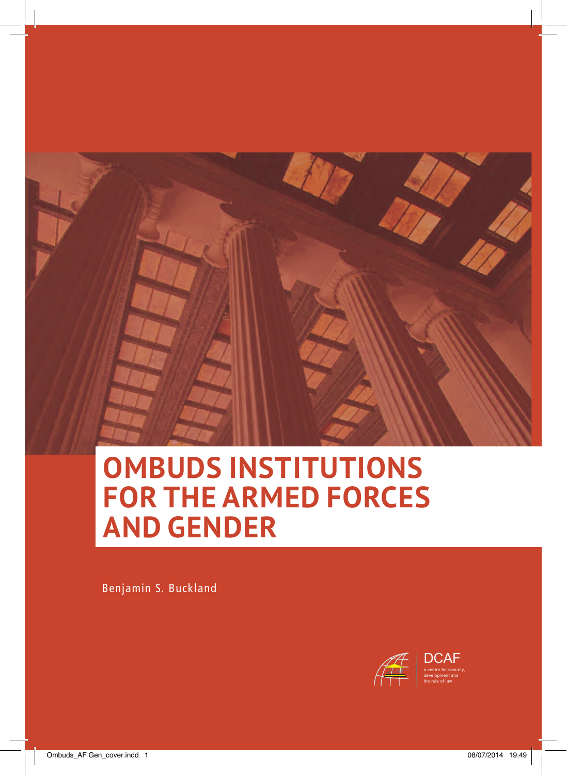

# **OMBUDS INSTITUTIONS FOR THE ARMED FORCES AND GENDER**

Benjamin S. Buckland

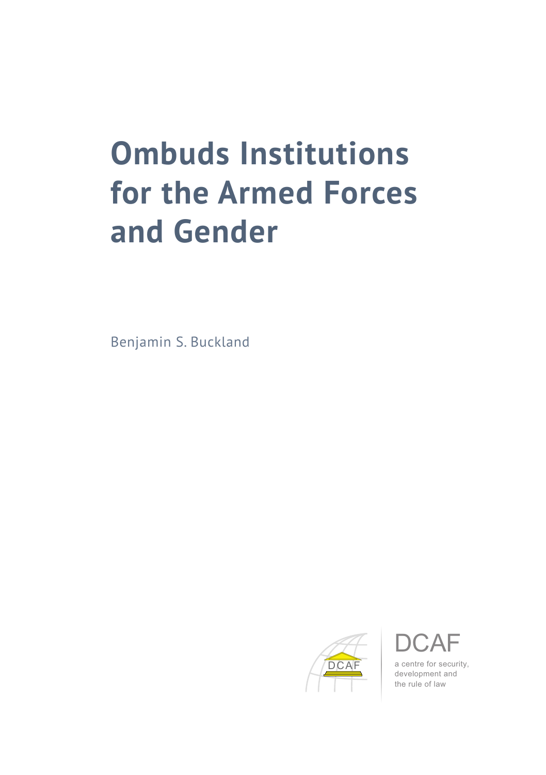# **Ombuds Institutions for the Armed Forces and Gender**

Benjamin S. Buckland





a centre for security, development and the rule of law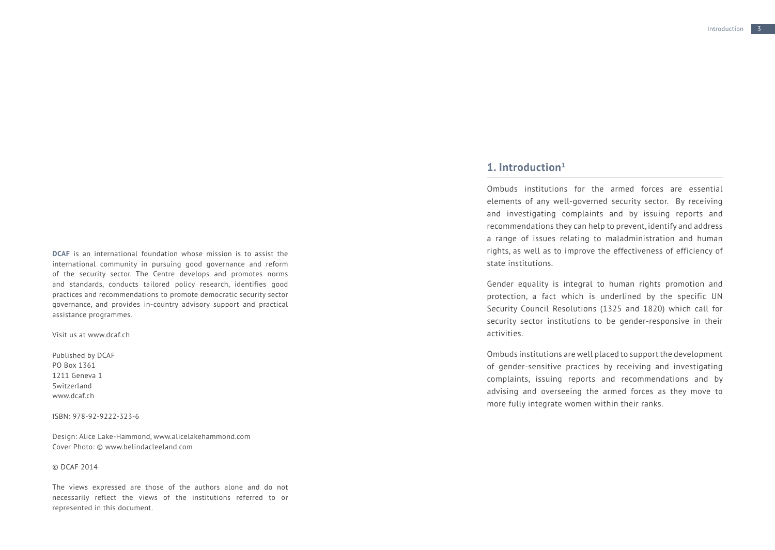**DCAF** is an international foundation whose mission is to assist the international community in pursuing good governance and reform of the security sector. The Centre develops and promotes norms and standards, conducts tailored policy research, identifies good practices and recommendations to promote democratic security sector governance, and provides in-country advisory support and practical assistance programmes.

Visit us at [www.dcaf.ch](http://www.dcaf.ch)

Published by DCAF PO Box 1361 1211 Geneva 1 Switzerland www.dcaf.ch

ISBN: 978-92-9222-323-6

Design: Alice Lake-Hammond, [www.alicelakehammond.com](http://www.alicelakehammond.com) Cover Photo: © [www.belindacleeland.com](http://www.belindacleeland.com)

#### © DCAF 2014

The views expressed are those of the authors alone and do not necessarily reflect the views of the institutions referred to or represented in this document.

## **1. Introduction[1](#page-9-0)**

Ombuds institutions for the armed forces are essential elements of any well-governed security sector. By receiving and investigating complaints and by issuing reports and recommendations they can help to prevent, identify and address a range of issues relating to maladministration and human rights, as well as to improve the effectiveness of efficiency of state institutions.

Gender equality is integral to human rights promotion and protection, a fact which is underlined by the specific UN Security Council Resolutions (1325 and 1820) which call for security sector institutions to be gender-responsive in their activities.

Ombuds institutions are well placed to support the development of gender-sensitive practices by receiving and investigating complaints, issuing reports and recommendations and by advising and overseeing the armed forces as they move to more fully integrate women within their ranks.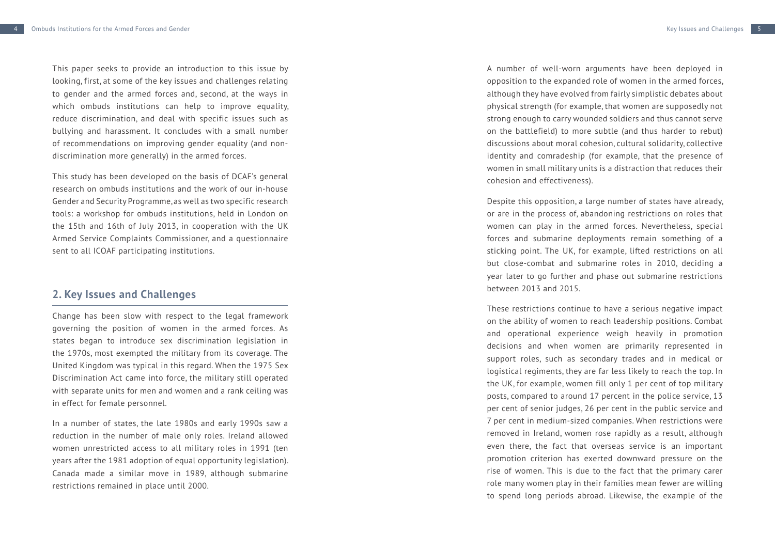This paper seeks to provide an introduction to this issue by looking, first, at some of the key issues and challenges relating to gender and the armed forces and, second, at the ways in which ombuds institutions can help to improve equality, reduce discrimination, and deal with specific issues such as bullying and harassment. It concludes with a small number of recommendations on improving gender equality (and nondiscrimination more generally) in the armed forces.

This study has been developed on the basis of DCAF's general research on ombuds institutions and the work of our in-house Gender and Security Programme, as well as two specific research tools: a workshop for ombuds institutions, held in London on the 15th and 16th of July 2013, in cooperation with the UK Armed Service Complaints Commissioner, and a questionnaire sent to all ICOAF participating institutions.

### **2. Key Issues and Challenges**

Change has been slow with respect to the legal framework governing the position of women in the armed forces. As states began to introduce sex discrimination legislation in the 1970s, most exempted the military from its coverage. The United Kingdom was typical in this regard. When the 1975 Sex Discrimination Act came into force, the military still operated with separate units for men and women and a rank ceiling was in effect for female personnel.

In a number of states, the late 1980s and early 1990s saw a reduction in the number of male only roles. Ireland allowed women unrestricted access to all military roles in 1991 (ten years after the 1981 adoption of equal opportunity legislation). Canada made a similar move in 1989, although submarine restrictions remained in place until 2000.

A number of well-worn arguments have been deployed in opposition to the expanded role of women in the armed forces, although they have evolved from fairly simplistic debates about physical strength (for example, that women are supposedly not strong enough to carry wounded soldiers and thus cannot serve on the battlefield) to more subtle (and thus harder to rebut) discussions about moral cohesion, cultural solidarity, collective identity and comradeship (for example, that the presence of women in small military units is a distraction that reduces their cohesion and effectiveness).

Despite this opposition, a large number of states have already, or are in the process of, abandoning restrictions on roles that women can play in the armed forces. Nevertheless, special forces and submarine deployments remain something of a sticking point. The UK, for example, lifted restrictions on all but close-combat and submarine roles in 2010, deciding a year later to go further and phase out submarine restrictions between 2013 and 2015.

These restrictions continue to have a serious negative impact on the ability of women to reach leadership positions. Combat and operational experience weigh heavily in promotion decisions and when women are primarily represented in support roles, such as secondary trades and in medical or logistical regiments, they are far less likely to reach the top. In the UK, for example, women fill only 1 per cent of top military posts, compared to around 17 percent in the police service, 13 per cent of senior judges, 26 per cent in the public service and 7 per cent in medium-sized companies. When restrictions were removed in Ireland, women rose rapidly as a result, although even there, the fact that overseas service is an important promotion criterion has exerted downward pressure on the rise of women. This is due to the fact that the primary carer role many women play in their families mean fewer are willing to spend long periods abroad. Likewise, the example of the

5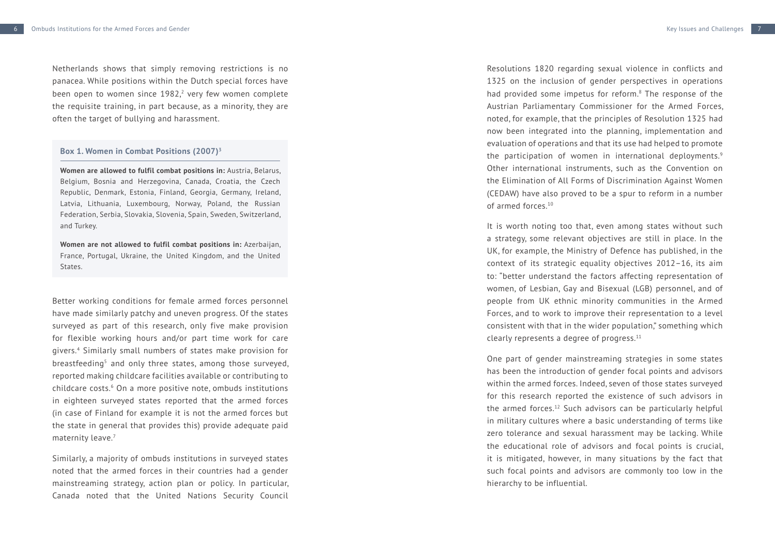Netherlands shows that simply removing restrictions is no panacea. While positions within the Dutch special forces have been open to women since 1982, [2](#page-9-1) very few women complete the requisite training, in part because, as a minority, they are often the target of bullying and harassment.

#### **Box 1. Women in Combat Positions (2007) [3](#page-9-11)**

**Women are allowed to fulfil combat positions in:** Austria, Belarus, Belgium, Bosnia and Herzegovina, Canada, Croatia, the Czech Republic, Denmark, Estonia, Finland, Georgia, Germany, Ireland, Latvia, Lithuania, Luxembourg, Norway, Poland, the Russian Federation, Serbia, Slovakia, Slovenia, Spain, Sweden, Switzerland, and Turkey.

**Women are not allowed to fulfil combat positions in:** Azerbaijan, France, Portugal, Ukraine, the United Kingdom, and the United States.

Better working conditions for female armed forces personnel have made similarly patchy and uneven progress. Of the states surveyed as part of this research, only five make provision for flexible working hours and/or part time work for care givers. [4](#page-9-2) Similarly small numbers of states make provision for breastfeeding [5](#page-9-3) and only three states, among those surveyed, reported making childcare facilities available or contributing to childcare costs. [6](#page-9-4) On a more positive note, ombuds institutions in eighteen surveyed states reported that the armed forces (in case of Finland for example it is not the armed forces but the state in general that provides this) provide adequate paid maternity leave. [7](#page-9-5)

Similarly, a majority of ombuds institutions in surveyed states noted that the armed forces in their countries had a gender mainstreaming strategy, action plan or policy. In particular, Canada noted that the United Nations Security Council

Resolutions 1820 regarding sexual violence in conflicts and 1325 on the inclusion of gender perspectives in operations had provided some impetus for reform. [8](#page-9-6) The response of the Austrian Parliamentary Commissioner for the Armed Forces, noted, for example, that the principles of Resolution 1325 had now been integrated into the planning, implementation and evaluation of operations and that its use had helped to promote the participation of women in international deployments.<sup>[9](#page-9-7)</sup> Other international instruments, such as the Convention on the Elimination of All Forms of Discrimination Against Women (CEDAW) have also proved to be a spur to reform in a number of armed forces.[10](#page-9-8)

It is worth noting too that, even among states without such a strategy, some relevant objectives are still in place. In the UK, for example, the Ministry of Defence has published, in the context of its strategic equality objectives 2012–16, its aim to: "better understand the factors affecting representation of women, of Lesbian, Gay and Bisexual (LGB) personnel, and of people from UK ethnic minority communities in the Armed Forces, and to work to improve their representation to a level consistent with that in the wider population," something which clearly represents a degree of progress.<sup>[11](#page-9-9)</sup>

One part of gender mainstreaming strategies in some states has been the introduction of gender focal points and advisors within the armed forces. Indeed, seven of those states surveyed for this research reported the existence of such advisors in the armed forces[.12](#page-9-10) Such advisors can be particularly helpful in military cultures where a basic understanding of terms like zero tolerance and sexual harassment may be lacking. While the educational role of advisors and focal points is crucial, it is mitigated, however, in many situations by the fact that such focal points and advisors are commonly too low in the hierarchy to be influential.

7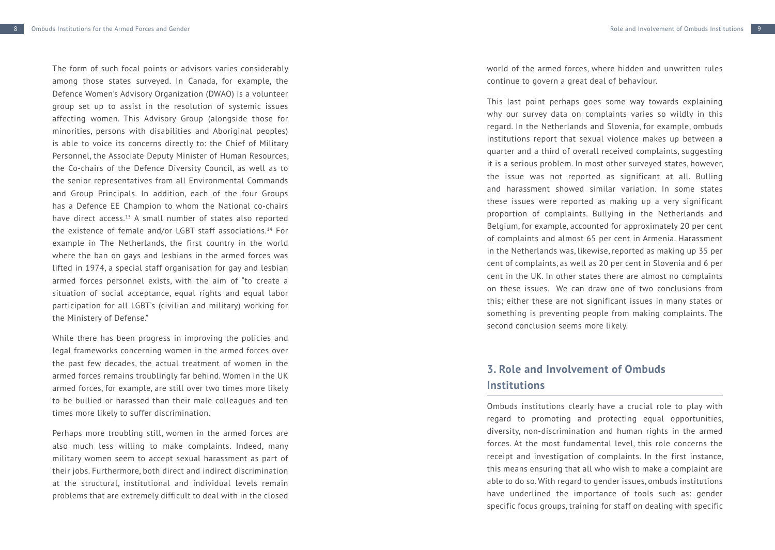9

The form of such focal points or advisors varies considerably among those states surveyed. In Canada, for example, the Defence Women's Advisory Organization (DWAO) is a volunteer group set up to assist in the resolution of systemic issues affecting women. This Advisory Group (alongside those for minorities, persons with disabilities and Aboriginal peoples) is able to voice its concerns directly to: the Chief of Military Personnel, the Associate Deputy Minister of Human Resources, the Co-chairs of the Defence Diversity Council, as well as to the senior representatives from all Environmental Commands and Group Principals. In addition, each of the four Groups has a Defence EE Champion to whom the National co-chairs have direct access.<sup>13</sup> A small number of states also reported the existence of female and/or LGBT staff associations.[14](#page-9-13) For example in The Netherlands, the first country in the world where the ban on gays and lesbians in the armed forces was lifted in 1974, a special staff organisation for gay and lesbian armed forces personnel exists, with the aim of "to create a situation of social acceptance, equal rights and equal labor participation for all LGBT's (civilian and military) working for the Ministery of Defense."

While there has been progress in improving the policies and legal frameworks concerning women in the armed forces over the past few decades, the actual treatment of women in the armed forces remains troublingly far behind. Women in the UK armed forces, for example, are still over two times more likely to be bullied or harassed than their male colleagues and ten times more likely to suffer discrimination.

Perhaps more troubling still, women in the armed forces are also much less willing to make complaints. Indeed, many military women seem to accept sexual harassment as part of their jobs. Furthermore, both direct and indirect discrimination at the structural, institutional and individual levels remain problems that are extremely difficult to deal with in the closed world of the armed forces, where hidden and unwritten rules continue to govern a great deal of behaviour.

This last point perhaps goes some way towards explaining why our survey data on complaints varies so wildly in this regard. In the Netherlands and Slovenia, for example, ombuds institutions report that sexual violence makes up between a quarter and a third of overall received complaints, suggesting it is a serious problem. In most other surveyed states, however, the issue was not reported as significant at all. Bulling and harassment showed similar variation. In some states these issues were reported as making up a very significant proportion of complaints. Bullying in the Netherlands and Belgium, for example, accounted for approximately 20 per cent of complaints and almost 65 per cent in Armenia. Harassment in the Netherlands was, likewise, reported as making up 35 per cent of complaints, as well as 20 per cent in Slovenia and 6 per cent in the UK. In other states there are almost no complaints on these issues. We can draw one of two conclusions from this; either these are not significant issues in many states or something is preventing people from making complaints. The second conclusion seems more likely.

# **3. Role and Involvement of Ombuds Institutions**

Ombuds institutions clearly have a crucial role to play with regard to promoting and protecting equal opportunities, diversity, non-discrimination and human rights in the armed forces. At the most fundamental level, this role concerns the receipt and investigation of complaints. In the first instance, this means ensuring that all who wish to make a complaint are able to do so. With regard to gender issues, ombuds institutions have underlined the importance of tools such as: gender specific focus groups, training for staff on dealing with specific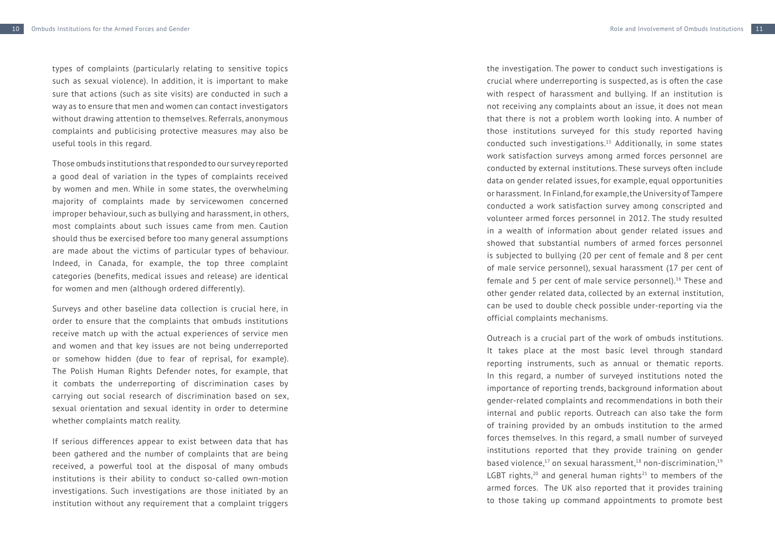useful tools in this regard.

types of complaints (particularly relating to sensitive topics such as sexual violence). In addition, it is important to make sure that actions (such as site visits) are conducted in such a way as to ensure that men and women can contact investigators without drawing attention to themselves. Referrals, anonymous complaints and publicising protective measures may also be

Those ombuds institutions that responded to our survey reported a good deal of variation in the types of complaints received by women and men. While in some states, the overwhelming majority of complaints made by servicewomen concerned improper behaviour, such as bullying and harassment, in others, most complaints about such issues came from men. Caution should thus be exercised before too many general assumptions are made about the victims of particular types of behaviour. Indeed, in Canada, for example, the top three complaint categories (benefits, medical issues and release) are identical for women and men (although ordered differently).

Surveys and other baseline data collection is crucial here, in order to ensure that the complaints that ombuds institutions receive match up with the actual experiences of service men and women and that key issues are not being underreported or somehow hidden (due to fear of reprisal, for example). The Polish Human Rights Defender notes, for example, that it combats the underreporting of discrimination cases by carrying out social research of discrimination based on sex, sexual orientation and sexual identity in order to determine whether complaints match reality.

If serious differences appear to exist between data that has been gathered and the number of complaints that are being received, a powerful tool at the disposal of many ombuds institutions is their ability to conduct so-called own-motion investigations. Such investigations are those initiated by an institution without any requirement that a complaint triggers the investigation. The power to conduct such investigations is crucial where underreporting is suspected, as is often the case with respect of harassment and bullying. If an institution is not receiving any complaints about an issue, it does not mean that there is not a problem worth looking into. A number of those institutions surveyed for this study reported having conducted such investigations.[15](#page-9-14) Additionally, in some states work satisfaction surveys among armed forces personnel are conducted by external institutions. These surveys often include data on gender related issues, for example, equal opportunities or harassment. In Finland, for example, the University of Tampere conducted a work satisfaction survey among conscripted and volunteer armed forces personnel in 2012. The study resulted in a wealth of information about gender related issues and showed that substantial numbers of armed forces personnel is subjected to bullying (20 per cent of female and 8 per cent of male service personnel), sexual harassment (17 per cent of female and 5 per cent of male service personnel).<sup>16</sup> These and other gender related data, collected by an external institution, can be used to double check possible under-reporting via the official complaints mechanisms.

Outreach is a crucial part of the work of ombuds institutions. It takes place at the most basic level through standard reporting instruments, such as annual or thematic reports. In this regard, a number of surveyed institutions noted the importance of reporting trends, background information about gender-related complaints and recommendations in both their internal and public reports. Outreach can also take the form of training provided by an ombuds institution to the armed forces themselves. In this regard, a small number of surveyed institutions reported that they provide training on gender based violence, $17$  on sexual harassment, $18$  non-discrimination, $19$ LGBT rights, $20$  and general human rights<sup>21</sup> to members of the armed forces. The UK also reported that it provides training to those taking up command appointments to promote best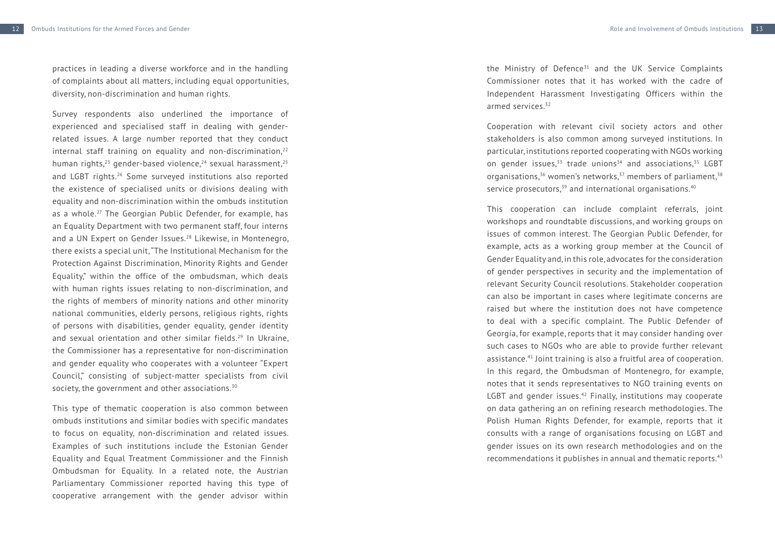practices in leading a diverse workforce and in the handling of complaints about all matters, including equal opportunities, diversity, non-discrimination and human rights.

Survey respondents also underlined the importance of experienced and specialised staff in dealing with genderrelated issues. A large number reported that they conduct internal staff training on equality and non-discrimination, $22$ human rights, $23$  gender-based violence, $24$  sexual harassment, $25$ and LGBT rights.[26](#page-9-25) Some surveyed institutions also reported the existence of specialised units or divisions dealing with equality and non-discrimination within the ombuds institution as a whole.[27](#page-9-26) The Georgian Public Defender, for example, has an Equality Department with two permanent staff, four interns and a UN Expert on Gender Issues.<sup>28</sup> Likewise, in Montenegro, there exists a special unit, "The Institutional Mechanism for the Protection Against Discrimination, Minority Rights and Gender Equality," within the office of the ombudsman, which deals with human rights issues relating to non-discrimination, and the rights of members of minority nations and other minority national communities, elderly persons, religious rights, rights of persons with disabilities, gender equality, gender identity and sexual orientation and other similar fields.<sup>[29](#page-9-28)</sup> In Ukraine, the Commissioner has a representative for non-discrimination and gender equality who cooperates with a volunteer "Expert Council," consisting of subject-matter specialists from civil society, the government and other associations.<sup>[30](#page-9-29)</sup>

This type of thematic cooperation is also common between ombuds institutions and similar bodies with specific mandates to focus on equality, non-discrimination and related issues. Examples of such institutions include the Estonian Gender Equality and Equal Treatment Commissioner and the Finnish Ombudsman for Equality. In a related note, the Austrian Parliamentary Commissioner reported having this type of cooperative arrangement with the gender advisor within the Ministry of Defence $31$  and the UK Service Complaints Commissioner notes that it has worked with the cadre of Independent Harassment Investigating Officers within the armed services.<sup>[32](#page-9-31)</sup>

Cooperation with relevant civil society actors and other stakeholders is also common among surveyed institutions. In particular, institutions reported cooperating with NGOs working on gender issues, $33$  trade unions $34$  and associations,  $35$  LGBT organisations, $36$  women's networks, $37$  members of parliament,  $38$ service prosecutors, $39$  and international organisations. $40$ 

This cooperation can include complaint referrals, joint workshops and roundtable discussions, and working groups on issues of common interest. The Georgian Public Defender, for example, acts as a working group member at the Council of Gender Equality and, in this role, advocates for the consideration of gender perspectives in security and the implementation of relevant Security Council resolutions. Stakeholder cooperation can also be important in cases where legitimate concerns are raised but where the institution does not have competence to deal with a specific complaint. The Public Defender of Georgia, for example, reports that it may consider handing over such cases to NGOs who are able to provide further relevant assistance.[41](#page-9-40) Joint training is also a fruitful area of cooperation. In this regard, the Ombudsman of Montenegro, for example, notes that it sends representatives to NGO training events on LGBT and gender issues.<sup>42</sup> Finally, institutions may cooperate on data gathering an on refining research methodologies. The Polish Human Rights Defender, for example, reports that it consults with a range of organisations focusing on LGBT and gender issues on its own research methodologies and on the recommendations it publishes in annual and thematic reports[.43](#page-9-42)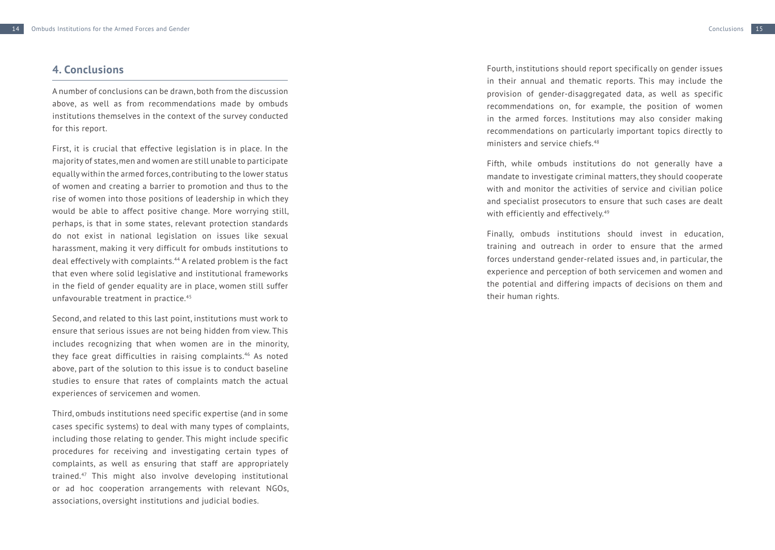### **4. Conclusions**

A number of conclusions can be drawn, both from the discussion above, as well as from recommendations made by ombuds institutions themselves in the context of the survey conducted for this report.

First, it is crucial that effective legislation is in place. In the majority of states, men and women are still unable to participate equally within the armed forces, contributing to the lower status of women and creating a barrier to promotion and thus to the rise of women into those positions of leadership in which they would be able to affect positive change. More worrying still, perhaps, is that in some states, relevant protection standards do not exist in national legislation on issues like sexual harassment, making it very difficult for ombuds institutions to deal effectively with complaints.[44](#page-9-43) A related problem is the fact that even where solid legislative and institutional frameworks in the field of gender equality are in place, women still suffer unfavourable treatment in practice.<sup>[45](#page-9-44)</sup>

Second, and related to this last point, institutions must work to ensure that serious issues are not being hidden from view. This includes recognizing that when women are in the minority, they face great difficulties in raising complaints.<sup>46</sup> As noted above, part of the solution to this issue is to conduct baseline studies to ensure that rates of complaints match the actual experiences of servicemen and women.

Third, ombuds institutions need specific expertise (and in some cases specific systems) to deal with many types of complaints, including those relating to gender. This might include specific procedures for receiving and investigating certain types of complaints, as well as ensuring that staff are appropriately trained.[47](#page-9-46) This might also involve developing institutional or ad hoc cooperation arrangements with relevant NGOs, associations, oversight institutions and judicial bodies.

Fourth, institutions should report specifically on gender issues in their annual and thematic reports. This may include the provision of gender-disaggregated data, as well as specific recommendations on, for example, the position of women in the armed forces. Institutions may also consider making recommendations on particularly important topics directly to ministers and service chiefs.[48](#page-9-47) 

Fifth, while ombuds institutions do not generally have a mandate to investigate criminal matters, they should cooperate with and monitor the activities of service and civilian police and specialist prosecutors to ensure that such cases are dealt with efficiently and effectively.<sup>49</sup>

Finally, ombuds institutions should invest in education, training and outreach in order to ensure that the armed forces understand gender-related issues and, in particular, the experience and perception of both servicemen and women and the potential and differing impacts of decisions on them and their human rights.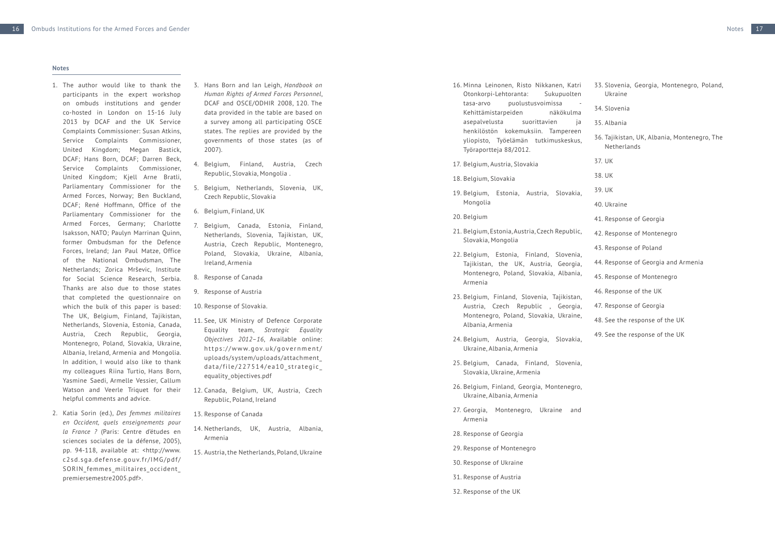#### **Notes**

- <span id="page-9-0"></span>1. The author would like to thank the participants in the expert workshop on ombuds institutions and gender co-hosted in London on 15-16 July 2013 by DCAF and the UK Service Complaints Commissioner: Susan Atkins, Service Complaints Commissioner, United Kingdom; Megan Bastick, DCAF; Hans Born, DCAF; Darren Beck, Service Complaints Commissioner, United Kingdom; Kjell Arne Bratli, Parliamentary Commissioner for the Armed Forces, Norway; Ben Buckland, DCAF; René Hoffmann, Office of the Parliamentary Commissioner for the Armed Forces, Germany; Charlotte Isaksson, NATO; Paulyn Marrinan Quinn, former Ombudsman for the Defence Forces, Ireland; Jan Paul Matze, Office of the National Ombudsman, The Netherlands; Zorica Mrševic, Institute for Social Science Research, Serbia. Thanks are also due to those states that completed the questionnaire on which the bulk of this paper is based: The UK, Belgium, Finland, Tajikistan, Netherlands, Slovenia, Estonia, Canada, Austria, Czech Republic, Georgia, Montenegro, Poland, Slovakia, Ukraine, Albania, Ireland, Armenia and Mongolia. In addition, I would also like to thank my colleagues Riina Turtio, Hans Born, Yasmine Saedi, Armelle Vessier, Callum Watson and Veerle Triquet for their helpful comments and advice.
- <span id="page-9-1"></span>2. Katia Sorin (ed.), *Des femmes militaires en Occident, quels enseignements pour la France ?* (Paris: Centre d'études en sciences sociales de la défense, 2005), pp. 94-118, available at: <[http://www.](http://www.c2sd.sga.defense.gouv.fr/IMG/pdf/SORIN_femmes_militaires_occident_premiersemestre2005.pdf) [c2sd.sga.defense.gouv.fr/IMG/pdf/](http://www.c2sd.sga.defense.gouv.fr/IMG/pdf/SORIN_femmes_militaires_occident_premiersemestre2005.pdf) [SORIN\\_femmes\\_militaires\\_occident\\_](http://www.c2sd.sga.defense.gouv.fr/IMG/pdf/SORIN_femmes_militaires_occident_premiersemestre2005.pdf) [premiersemestre2005.pdf>](http://www.c2sd.sga.defense.gouv.fr/IMG/pdf/SORIN_femmes_militaires_occident_premiersemestre2005.pdf).
- <span id="page-9-11"></span>3. Hans Born and Ian Leigh, *Handbook on Human Rights of Armed Forces Personnel*, DCAF and OSCE/ODHIR 2008, 120. The data provided in the table are based on a survey among all participating OSCE states. The replies are provided by the governments of those states (as of 2007).
- <span id="page-9-2"></span>4. Belgium, Finland, Austria, Czech Republic, Slovakia, Mongolia .
- <span id="page-9-3"></span>5. Belgium, Netherlands, Slovenia, UK, Czech Republic, Slovakia
- <span id="page-9-4"></span>6. Belgium, Finland, UK
- <span id="page-9-5"></span>7. Belgium, Canada, Estonia, Finland, Netherlands, Slovenia, Tajikistan, UK, Austria, Czech Republic, Montenegro, Poland, Slovakia, Ukraine, Albania, Ireland, Armenia
- <span id="page-9-6"></span>8. Response of Canada
- <span id="page-9-7"></span>9. Response of Austria
- <span id="page-9-8"></span>10. Response of Slovakia.
- <span id="page-9-9"></span>11. See, UK Ministry of Defence Corporate Equality team, *Strategic Equality Objectives 2012–16*, Available online: [https://www.gov.uk/government/](https://www.gov.uk/government/uploads/system/uploads/attachment_data/file/227514/ea10_strategic_equality_objectives.pdf) [uploads/system/uploads/attachment\\_](https://www.gov.uk/government/uploads/system/uploads/attachment_data/file/227514/ea10_strategic_equality_objectives.pdf) [data/file/227514/ea10\\_strategic\\_](https://www.gov.uk/government/uploads/system/uploads/attachment_data/file/227514/ea10_strategic_equality_objectives.pdf) [equality\\_objectives.pdf](https://www.gov.uk/government/uploads/system/uploads/attachment_data/file/227514/ea10_strategic_equality_objectives.pdf)
- <span id="page-9-10"></span>12. Canada, Belgium, UK, Austria, Czech Republic, Poland, Ireland
- <span id="page-9-12"></span>13. Response of Canada
- <span id="page-9-13"></span>14. Netherlands, UK, Austria, Albania, Armenia
- <span id="page-9-14"></span>15. Austria, the Netherlands, Poland, Ukraine

<span id="page-9-15"></span>16. Minna Leinonen, Risto Nikkanen, Katri Otonkorpi-Lehtoranta: Sukupuolten tasa-arvo puolustusvoimissa - Kehittämistarpeiden näkökulma asepalvelusta suorittavien ja henkilöstön kokemuksiin. Tampereen yliopisto, Työelämän tutkimuskeskus, Työraportteja 88/2012. 17. Belgium, Austria, Slovakia

- <span id="page-9-17"></span><span id="page-9-16"></span>18. Belgium, Slovakia
- <span id="page-9-18"></span>19. Belgium, Estonia, Austria, Slovakia, Mongolia
- <span id="page-9-19"></span>20. Belgium
- <span id="page-9-20"></span>21. Belgium, Estonia, Austria, Czech Republic, Slovakia, Mongolia
- <span id="page-9-21"></span>22. Belgium, Estonia, Finland, Slovenia, Tajikistan, the UK, Austria, Georgia, Montenegro, Poland, Slovakia, Albania, Armenia
- <span id="page-9-22"></span>23. Belgium, Finland, Slovenia, Tajikistan, Austria, Czech Republic , Georgia, Montenegro, Poland, Slovakia, Ukraine, Albania, Armenia
- <span id="page-9-23"></span>24. Belgium, Austria, Georgia, Slovakia, Ukraine, Albania, Armenia
- <span id="page-9-24"></span>25. Belgium, Canada, Finland, Slovenia, Slovakia, Ukraine, Armenia
- <span id="page-9-25"></span>26. Belgium, Finland, Georgia, Montenegro, Ukraine, Albania, Armenia
- <span id="page-9-26"></span>27. Georgia, Montenegro, Ukraine and Armenia
- <span id="page-9-27"></span>28. Response of Georgia
- <span id="page-9-28"></span>29. Response of Montenegro
- <span id="page-9-29"></span>30. Response of Ukraine
- <span id="page-9-30"></span>31. Response of Austria
- <span id="page-9-31"></span>32. Response of the UK

<span id="page-9-32"></span>33. Slovenia, Georgia, Montenegro, Poland,

<span id="page-9-34"></span>36. Tajikistan, UK, Albania, Montenegro, The

<span id="page-9-33"></span>Ukraine 34. Slovenia 35. Albania

<span id="page-9-36"></span><span id="page-9-35"></span>Netherlands

<span id="page-9-41"></span><span id="page-9-40"></span><span id="page-9-39"></span>41. Response of Georgia 42. Response of Montenegro 43. Response of Poland

<span id="page-9-43"></span><span id="page-9-42"></span>44. Response of Georgia and Armenia

<span id="page-9-48"></span><span id="page-9-47"></span><span id="page-9-46"></span><span id="page-9-45"></span><span id="page-9-44"></span>45. Response of Montenegro 46. Response of the UK 47. Response of Georgia 48. See the response of the UK 49. See the response of the UK

<span id="page-9-38"></span><span id="page-9-37"></span>37. UK 38. UK 39. UK 40. Ukraine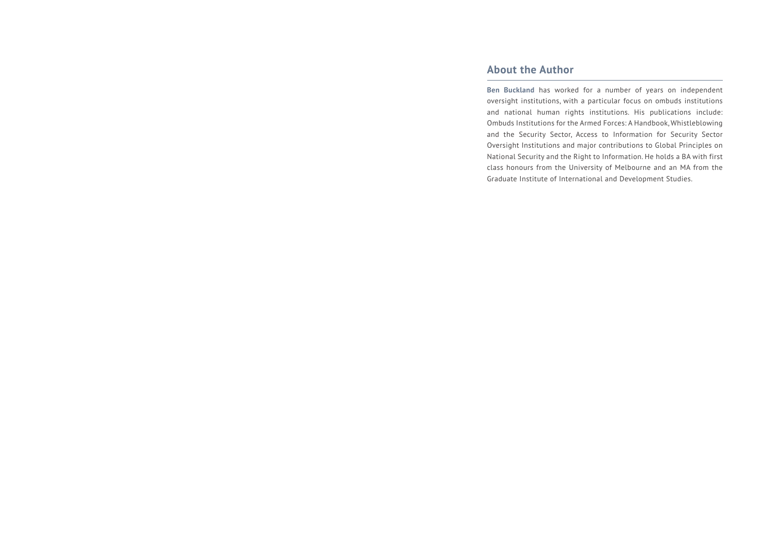# **About the Author**

**Ben Buckland** has worked for a number of years on independent oversight institutions, with a particular focus on ombuds institutions and national human rights institutions. His publications include: Ombuds Institutions for the Armed Forces: A Handbook, Whistleblowing and the Security Sector, Access to Information for Security Sector Oversight Institutions and major contributions to Global Principles on National Security and the Right to Information. He holds a BA with first class honours from the University of Melbourne and an MA from the Graduate Institute of International and Development Studies.